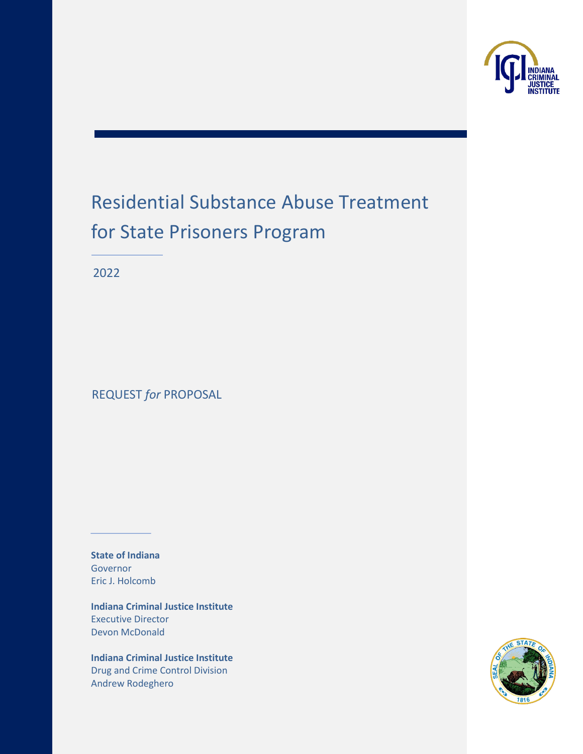

# Residential Substance Abuse Treatment for State Prisoners Program

2022

REQUEST *for* PROPOSAL

**State of Indiana** Governor Eric J. Holcomb

**Indiana Criminal Justice Institute** Executive Director Devon McDonald

**Indiana Criminal Justice Institute** Drug and Crime Control Division Andrew Rodeghero

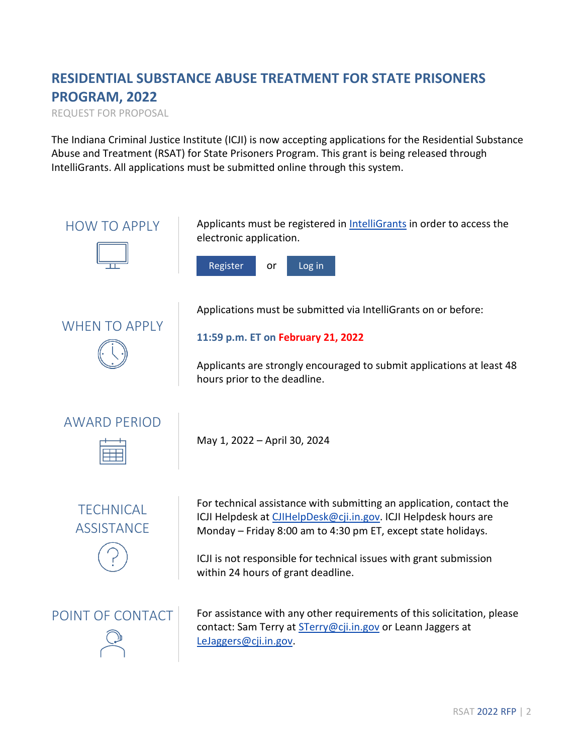# **RESIDENTIAL SUBSTANCE ABUSE TREATMENT FOR STATE PRISONERS PROGRAM, 2022**

REQUEST FOR PROPOSAL

The Indiana Criminal Justice Institute (ICJI) is now accepting applications for the Residential Substance Abuse and Treatment (RSAT) for State Prisoners Program. This grant is being released through IntelliGrants. All applications must be submitted online through this system.

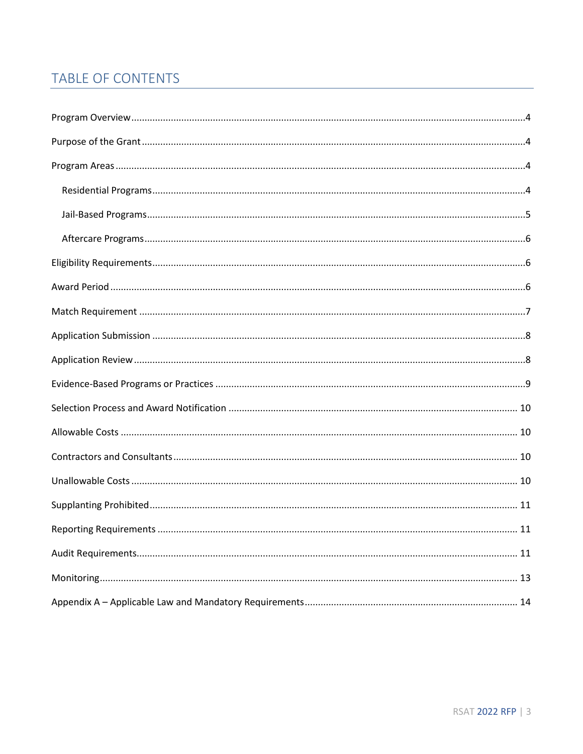## **TABLE OF CONTENTS**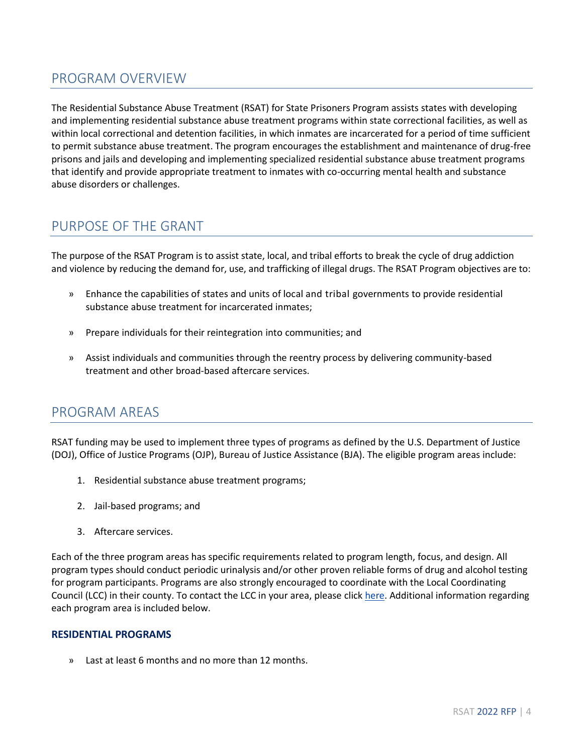### <span id="page-3-0"></span>PROGRAM OVERVIEW

The Residential Substance Abuse Treatment (RSAT) for State Prisoners Program assists states with developing and implementing residential substance abuse treatment programs within state correctional facilities, as well as within local correctional and detention facilities, in which inmates are incarcerated for a period of time sufficient to permit substance abuse treatment. The program encourages the establishment and maintenance of drug-free prisons and jails and developing and implementing specialized residential substance abuse treatment programs that identify and provide appropriate treatment to inmates with co-occurring mental health and substance abuse disorders or challenges.

### <span id="page-3-1"></span>PURPOSE OF THE GRANT

The purpose of the RSAT Program is to assist state, local, and tribal efforts to break the cycle of drug addiction and violence by reducing the demand for, use, and trafficking of illegal drugs. The RSAT Program objectives are to:

- » Enhance the capabilities of states and units of local and tribal governments to provide residential substance abuse treatment for incarcerated inmates;
- » Prepare individuals for their reintegration into communities; and
- » Assist individuals and communities through the reentry process by delivering community-based treatment and other broad-based aftercare services.

#### <span id="page-3-2"></span>PROGRAM AREAS

RSAT funding may be used to implement three types of programs as defined by the U.S. Department of Justice (DOJ), Office of Justice Programs (OJP), Bureau of Justice Assistance (BJA). The eligible program areas include:

- 1. Residential substance abuse treatment programs;
- 2. Jail-based programs; and
- 3. Aftercare services.

Each of the three program areas has specific requirements related to program length, focus, and design. All program types should conduct periodic urinalysis and/or other proven reliable forms of drug and alcohol testing for program participants. Programs are also strongly encouraged to coordinate with the Local Coordinating Council (LCC) in their county. To contact the LCC in your area, please click [here.](https://www.in.gov/cji/behavioral-health/local-coordinating-councils/) Additional information regarding each program area is included below.

#### <span id="page-3-3"></span>**RESIDENTIAL PROGRAMS**

» Last at least 6 months and no more than 12 months.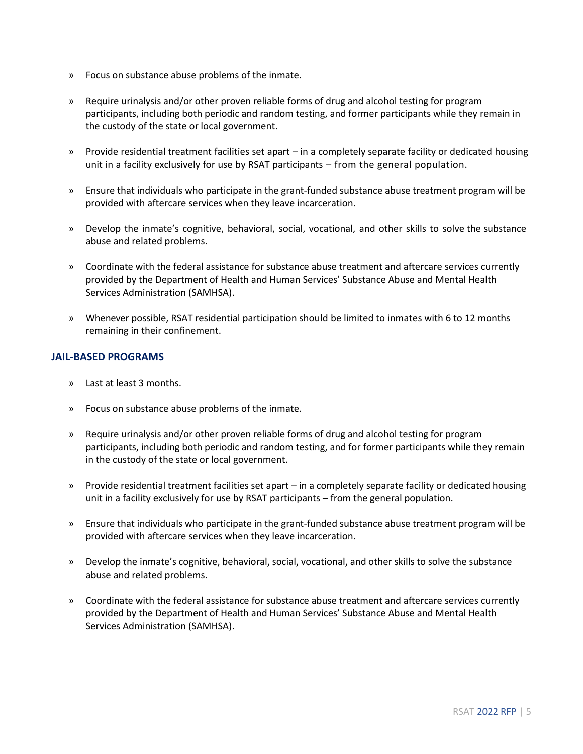- » Focus on substance abuse problems of the inmate.
- » Require urinalysis and/or other proven reliable forms of drug and alcohol testing for program participants, including both periodic and random testing, and former participants while they remain in the custody of the state or local government.
- » Provide residential treatment facilities set apart in a completely separate facility or dedicated housing unit in a facility exclusively for use by RSAT participants – from the general population.
- » Ensure that individuals who participate in the grant-funded substance abuse treatment program will be provided with aftercare services when they leave incarceration.
- » Develop the inmate's cognitive, behavioral, social, vocational, and other skills to solve the substance abuse and related problems.
- » Coordinate with the federal assistance for substance abuse treatment and aftercare services currently provided by the Department of Health and Human Services' Substance Abuse and Mental Health Services Administration (SAMHSA).
- » Whenever possible, RSAT residential participation should be limited to inmates with 6 to 12 months remaining in their confinement.

#### <span id="page-4-0"></span>**JAIL-BASED PROGRAMS**

- » Last at least 3 months.
- » Focus on substance abuse problems of the inmate.
- » Require urinalysis and/or other proven reliable forms of drug and alcohol testing for program participants, including both periodic and random testing, and for former participants while they remain in the custody of the state or local government.
- » Provide residential treatment facilities set apart in a completely separate facility or dedicated housing unit in a facility exclusively for use by RSAT participants – from the general population.
- » Ensure that individuals who participate in the grant-funded substance abuse treatment program will be provided with aftercare services when they leave incarceration.
- » Develop the inmate's cognitive, behavioral, social, vocational, and other skills to solve the substance abuse and related problems.
- » Coordinate with the federal assistance for substance abuse treatment and aftercare services currently provided by the Department of Health and Human Services' Substance Abuse and Mental Health Services Administration (SAMHSA).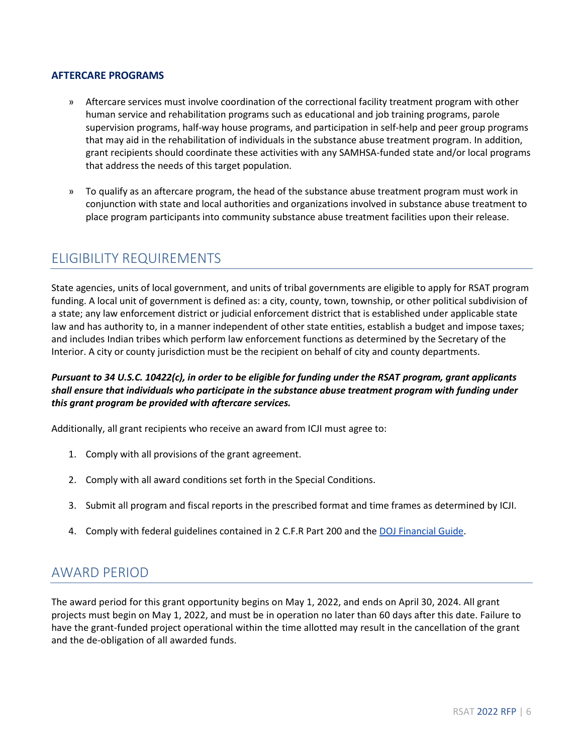#### <span id="page-5-0"></span>**AFTERCARE PROGRAMS**

- » Aftercare services must involve coordination of the correctional facility treatment program with other human service and rehabilitation programs such as educational and job training programs, parole supervision programs, half-way house programs, and participation in self-help and peer group programs that may aid in the rehabilitation of individuals in the substance abuse treatment program. In addition, grant recipients should coordinate these activities with any SAMHSA-funded state and/or local programs that address the needs of this target population.
- » To qualify as an aftercare program, the head of the substance abuse treatment program must work in conjunction with state and local authorities and organizations involved in substance abuse treatment to place program participants into community substance abuse treatment facilities upon their release.

#### <span id="page-5-1"></span>ELIGIBILITY REQUIREMENTS

State agencies, units of local government, and units of tribal governments are eligible to apply for RSAT program funding. A local unit of government is defined as: a city, county, town, township, or other political subdivision of a state; any law enforcement district or judicial enforcement district that is established under applicable state law and has authority to, in a manner independent of other state entities, establish a budget and impose taxes; and includes Indian tribes which perform law enforcement functions as determined by the Secretary of the Interior. A city or county jurisdiction must be the recipient on behalf of city and county departments.

#### *Pursuant to 34 U.S.C. 10422(c), in order to be eligible for funding under the RSAT program, grant applicants shall ensure that individuals who participate in the substance abuse treatment program with funding under this grant program be provided with aftercare services.*

Additionally, all grant recipients who receive an award from ICJI must agree to:

- 1. Comply with all provisions of the grant agreement.
- 2. Comply with all award conditions set forth in the Special Conditions.
- 3. Submit all program and fiscal reports in the prescribed format and time frames as determined by ICJI.
- 4. Comply with federal guidelines contained in 2 C.F.R Part 200 and th[e DOJ Financial Guide.](https://ojp.gov/financialguide/doj/)

#### <span id="page-5-2"></span>AWARD PERIOD

The award period for this grant opportunity begins on May 1, 2022, and ends on April 30, 2024. All grant projects must begin on May 1, 2022, and must be in operation no later than 60 days after this date. Failure to have the grant-funded project operational within the time allotted may result in the cancellation of the grant and the de-obligation of all awarded funds.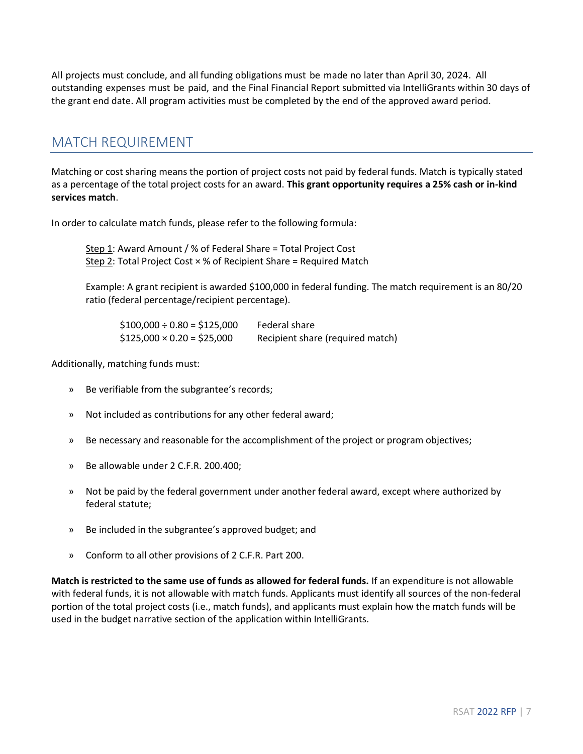All projects must conclude, and all funding obligations must be made no later than April 30, 2024. All outstanding expenses must be paid, and the Final Financial Report submitted via IntelliGrants within 30 days of the grant end date. All program activities must be completed by the end of the approved award period.

### <span id="page-6-0"></span>MATCH REQUIREMENT

Matching or cost sharing means the portion of project costs not paid by federal funds. Match is typically stated as a percentage of the total project costs for an award. **This grant opportunity requires a 25% cash or in-kind services match**.

In order to calculate match funds, please refer to the following formula:

Step 1: Award Amount /  $%$  of Federal Share = Total Project Cost Step 2: Total Project Cost  $\times$  % of Recipient Share = Required Match

Example: A grant recipient is awarded \$100,000 in federal funding. The match requirement is an 80/20 ratio (federal percentage/recipient percentage).

 $$100,000 \div 0.80 = $125,000$  Federal share  $$125,000 \times 0.20 = $25,000$  Recipient share (required match)

Additionally, matching funds must:

- » Be verifiable from the subgrantee's records;
- » Not included as contributions for any other federal award;
- » Be necessary and reasonable for the accomplishment of the project or program objectives;
- » Be allowable under 2 C.F.R. 200.400;
- » Not be paid by the federal government under another federal award, except where authorized by federal statute;
- » Be included in the subgrantee's approved budget; and
- » Conform to all other provisions of 2 C.F.R. Part 200.

**Match is restricted to the same use of funds as allowed for federal funds.** If an expenditure is not allowable with federal funds, it is not allowable with match funds. Applicants must identify all sources of the non-federal portion of the total project costs (i.e., match funds), and applicants must explain how the match funds will be used in the budget narrative section of the application within IntelliGrants.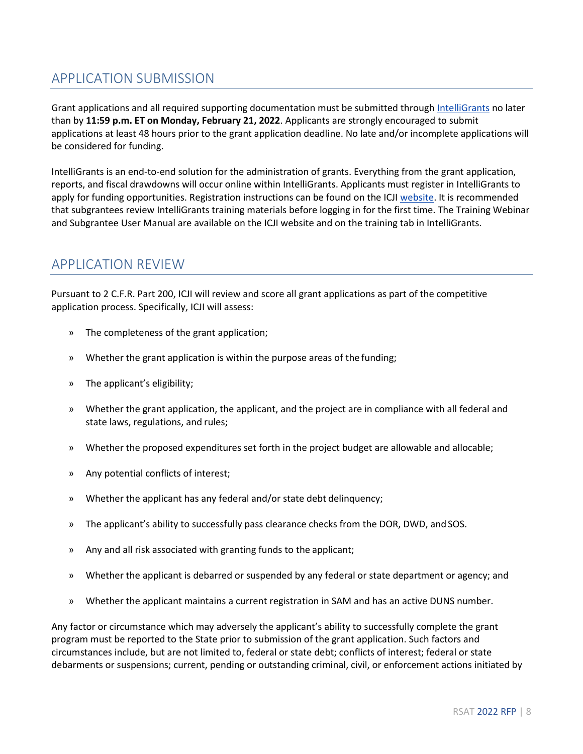### <span id="page-7-0"></span>APPLICATION SUBMISSION

Grant applications and all required supporting documentation must be submitted through [IntelliGrants](https://intelligrants.in.gov/Login2.aspx?APPTHEME=INGRT) no later than by **11:59 p.m. ET on Monday, February 21, 2022**. Applicants are strongly encouraged to submit applications at least 48 hours prior to the grant application deadline. No late and/or incomplete applications will be considered for funding.

IntelliGrants is an end-to-end solution for the administration of grants. Everything from the grant application, reports, and fiscal drawdowns will occur online within IntelliGrants. Applicants must register in IntelliGrants to apply for funding opportunities. Registration instructions can be found on the ICJI [website.](https://www.in.gov/cji/grant-opportunities/files/IntelliGrants_User_Manual.pdf) It is recommended that subgrantees review IntelliGrants training materials before logging in for the first time. The Training Webinar and Subgrantee User Manual are available on the ICJI website and on the training tab in IntelliGrants.

#### <span id="page-7-1"></span>APPLICATION REVIEW

Pursuant to 2 C.F.R. Part 200, ICJI will review and score all grant applications as part of the competitive application process. Specifically, ICJI will assess:

- » The completeness of the grant application;
- » Whether the grant application is within the purpose areas of the funding;
- » The applicant's eligibility;
- » Whether the grant application, the applicant, and the project are in compliance with all federal and state laws, regulations, and rules;
- » Whether the proposed expenditures set forth in the project budget are allowable and allocable;
- » Any potential conflicts of interest;
- » Whether the applicant has any federal and/or state debt delinquency;
- » The applicant's ability to successfully pass clearance checks from the DOR, DWD, and SOS.
- » Any and all risk associated with granting funds to the applicant;
- » Whether the applicant is debarred or suspended by any federal or state department or agency; and
- » Whether the applicant maintains a current registration in SAM and has an active DUNS number.

Any factor or circumstance which may adversely the applicant's ability to successfully complete the grant program must be reported to the State prior to submission of the grant application. Such factors and circumstances include, but are not limited to, federal or state debt; conflicts of interest; federal or state debarments or suspensions; current, pending or outstanding criminal, civil, or enforcement actions initiated by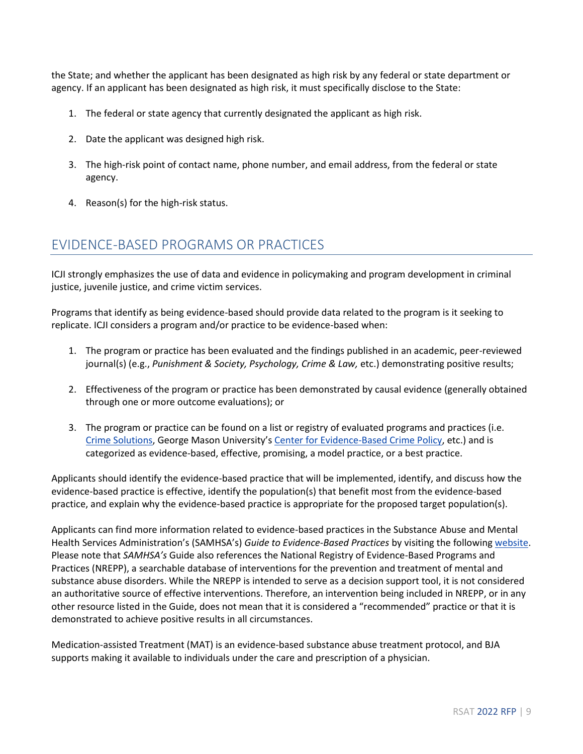the State; and whether the applicant has been designated as high risk by any federal or state department or agency. If an applicant has been designated as high risk, it must specifically disclose to the State:

- 1. The federal or state agency that currently designated the applicant as high risk.
- 2. Date the applicant was designed high risk.
- 3. The high-risk point of contact name, phone number, and email address, from the federal or state agency.
- 4. Reason(s) for the high-risk status.

### <span id="page-8-0"></span>EVIDENCE-BASED PROGRAMS OR PRACTICES

ICJI strongly emphasizes the use of data and evidence in policymaking and program development in criminal justice, juvenile justice, and crime victim services.

Programs that identify as being evidence-based should provide data related to the program is it seeking to replicate. ICJI considers a program and/or practice to be evidence-based when:

- 1. The program or practice has been evaluated and the findings published in an academic, peer-reviewed journal(s) (e.g., *Punishment & Society, Psychology, Crime & Law,* etc.) demonstrating positive results;
- 2. Effectiveness of the program or practice has been demonstrated by causal evidence (generally obtained through one or more outcome evaluations); or
- 3. The program or practice can be found on a list or registry of evaluated programs and practices (i.e. [Crime Solutions](https://www.crimesolutions.gov/), George Mason University's [Center for Evidence-Based Crime Policy,](https://cebcp.org/) etc.) and is categorized as evidence-based, effective, promising, a model practice, or a best practice.

Applicants should identify the evidence-based practice that will be implemented, identify, and discuss how the evidence-based practice is effective, identify the population(s) that benefit most from the evidence-based practice, and explain why the evidence-based practice is appropriate for the proposed target population(s).

Applicants can find more information related to evidence-based practices in the Substance Abuse and Mental Health Services Administration's (SAMHSA's) *Guide to Evidence-Based Practices* by visiting the following [website.](https://www.samhsa.gov/resource-search/ebp) Please note that *SAMHSA's* Guide also references the National Registry of Evidence-Based Programs and Practices (NREPP), a searchable database of interventions for the prevention and treatment of mental and substance abuse disorders. While the NREPP is intended to serve as a decision support tool, it is not considered an authoritative source of effective interventions. Therefore, an intervention being included in NREPP, or in any other resource listed in the Guide, does not mean that it is considered a "recommended" practice or that it is demonstrated to achieve positive results in all circumstances.

Medication-assisted Treatment (MAT) is an evidence-based substance abuse treatment protocol, and BJA supports making it available to individuals under the care and prescription of a physician.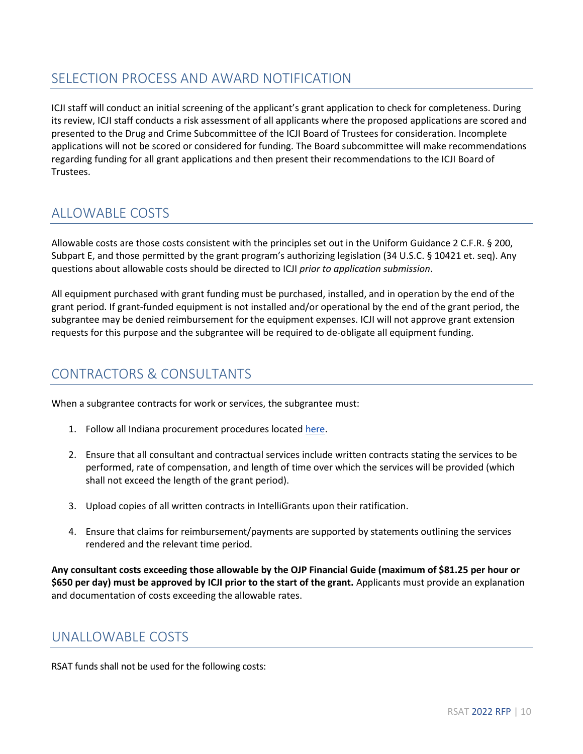#### <span id="page-9-0"></span>SELECTION PROCESS AND AWARD NOTIFICATION

ICJI staff will conduct an initial screening of the applicant's grant application to check for completeness. During its review, ICJI staff conducts a risk assessment of all applicants where the proposed applications are scored and presented to the Drug and Crime Subcommittee of the ICJI Board of Trustees for consideration. Incomplete applications will not be scored or considered for funding. The Board subcommittee will make recommendations regarding funding for all grant applications and then present their recommendations to the ICJI Board of Trustees.

### <span id="page-9-1"></span>ALLOWABLE COSTS

Allowable costs are those costs consistent with the principles set out in the Uniform Guidance 2 C.F.R. § 200, Subpart E, and those permitted by the grant program's authorizing legislation (34 U.S.C. § 10421 et. seq). Any questions about allowable costs should be directed to ICJI *prior to application submission*.

All equipment purchased with grant funding must be purchased, installed, and in operation by the end of the grant period. If grant-funded equipment is not installed and/or operational by the end of the grant period, the subgrantee may be denied reimbursement for the equipment expenses. ICJI will not approve grant extension requests for this purpose and the subgrantee will be required to de-obligate all equipment funding.

### <span id="page-9-2"></span>CONTRACTORS & CONSULTANTS

When a subgrantee contracts for work or services, the subgrantee must:

- 1. Follow all Indiana procurement procedures locate[d here.](http://www.in.gov/idoa/2354.htm)
- 2. Ensure that all consultant and contractual services include written contracts stating the services to be performed, rate of compensation, and length of time over which the services will be provided (which shall not exceed the length of the grant period).
- 3. Upload copies of all written contracts in IntelliGrants upon their ratification.
- 4. Ensure that claims for reimbursement/payments are supported by statements outlining the services rendered and the relevant time period.

**Any consultant costs exceeding those allowable by the OJP Financial Guide (maximum of \$81.25 per hour or \$650 per day) must be approved by ICJI prior to the start of the grant.** Applicants must provide an explanation and documentation of costs exceeding the allowable rates.

#### <span id="page-9-3"></span>UNALLOWABLE COSTS

RSAT funds shall not be used for the following costs: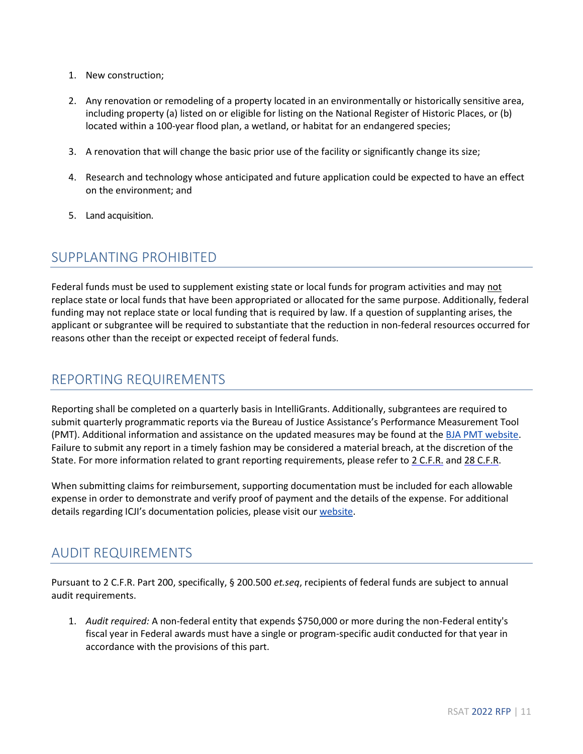- 1. New construction;
- 2. Any renovation or remodeling of a property located in an environmentally or historically sensitive area, including property (a) listed on or eligible for listing on the National Register of Historic Places, or (b) located within a 100-year flood plan, a wetland, or habitat for an endangered species;
- 3. A renovation that will change the basic prior use of the facility or significantly change its size;
- 4. Research and technology whose anticipated and future application could be expected to have an effect on the environment; and
- 5. Land acquisition.

#### <span id="page-10-0"></span>SUPPLANTING PROHIBITED

Federal funds must be used to supplement existing state or local funds for program activities and may not replace state or local funds that have been appropriated or allocated for the same purpose. Additionally, federal funding may not replace state or local funding that is required by law. If a question of supplanting arises, the applicant or subgrantee will be required to substantiate that the reduction in non-federal resources occurred for reasons other than the receipt or expected receipt of federal funds.

#### <span id="page-10-1"></span>REPORTING REQUIREMENTS

Reporting shall be completed on a quarterly basis in IntelliGrants. Additionally, subgrantees are required to submit quarterly programmatic reports via the Bureau of Justice Assistance's Performance Measurement Tool (PMT). Additional information and assistance on the updated measures may be found at the [BJA PMT website.](https://ojpsso.ojp.gov/) Failure to submit any report in a timely fashion may be considered a material breach, at the discretion of the State. For more information related to grant reporting requirements, please refer to [2 C.F.R.](https://www.law.cornell.edu/cfr/text/2) an[d 28 C.F.R.](https://www.law.cornell.edu/cfr/text/28/chapter-I)

When submitting claims for reimbursement, supporting documentation must be included for each allowable expense in order to demonstrate and verify proof of payment and the details of the expense. For additional details regarding ICJI's documentation policies, please visit ou[r website.](https://www.in.gov/cji/grantee-training-and-resources/)

#### <span id="page-10-2"></span>AUDIT REQUIREMENTS

Pursuant to 2 C.F.R. Part 200, specifically, § 200.500 *et.seq*, recipients of federal funds are subject to annual audit requirements.

1. *Audit required:* A non-federal entity that expends \$750,000 or more during the non-Federal entity's fiscal year in Federal awards must have a single or program-specific audit conducted for that year in accordance with the provisions of this part.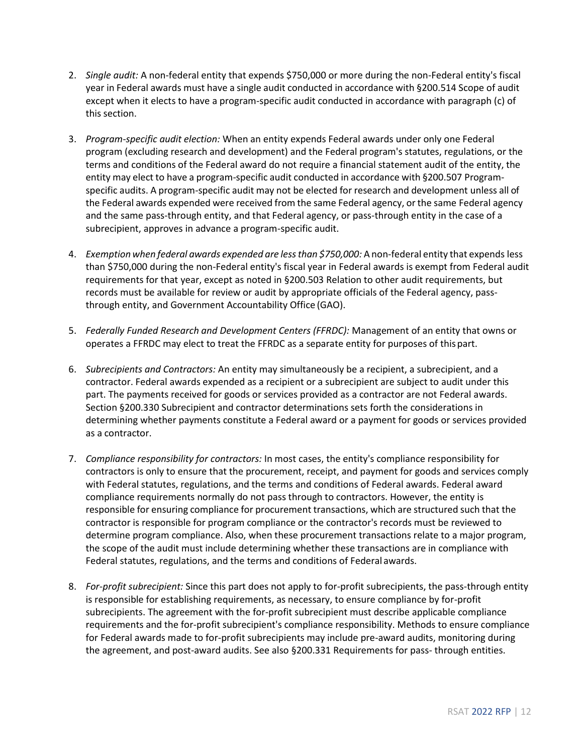- 2. *Single audit:* A non-federal entity that expends \$750,000 or more during the non-Federal entity's fiscal year in Federal awards must have a single audit conducted in accordance with §200.514 Scope of audit except when it elects to have a program-specific audit conducted in accordance with paragraph (c) of this section.
- 3. *Program-specific audit election:* When an entity expends Federal awards under only one Federal program (excluding research and development) and the Federal program's statutes, regulations, or the terms and conditions of the Federal award do not require a financial statement audit of the entity, the entity may elect to have a program-specific audit conducted in accordance with §200.507 Programspecific audits. A program-specific audit may not be elected for research and development unless all of the Federal awards expended were received from the same Federal agency, orthe same Federal agency and the same pass-through entity, and that Federal agency, or pass-through entity in the case of a subrecipient, approves in advance a program-specific audit.
- 4. *Exemption when federal awards expended are lessthan \$750,000:* A non-federal entity that expends less than \$750,000 during the non-Federal entity's fiscal year in Federal awards is exempt from Federal audit requirements for that year, except as noted in §200.503 Relation to other audit requirements, but records must be available for review or audit by appropriate officials of the Federal agency, passthrough entity, and Government Accountability Office (GAO).
- 5. *Federally Funded Research and Development Centers (FFRDC):* Management of an entity that owns or operates a FFRDC may elect to treat the FFRDC as a separate entity for purposes of thispart.
- 6. *Subrecipients and Contractors:* An entity may simultaneously be a recipient, a subrecipient, and a contractor. Federal awards expended as a recipient or a subrecipient are subject to audit under this part. The payments received for goods or services provided as a contractor are not Federal awards. Section §200.330 Subrecipient and contractor determinations sets forth the considerations in determining whether payments constitute a Federal award or a payment for goods or services provided as a contractor.
- 7. *Compliance responsibility for contractors:* In most cases, the entity's compliance responsibility for contractors is only to ensure that the procurement, receipt, and payment for goods and services comply with Federal statutes, regulations, and the terms and conditions of Federal awards. Federal award compliance requirements normally do not pass through to contractors. However, the entity is responsible for ensuring compliance for procurement transactions, which are structured such that the contractor is responsible for program compliance or the contractor's records must be reviewed to determine program compliance. Also, when these procurement transactions relate to a major program, the scope of the audit must include determining whether these transactions are in compliance with Federal statutes, regulations, and the terms and conditions of Federal awards.
- 8. *For-profit subrecipient:* Since this part does not apply to for-profit subrecipients, the pass-through entity is responsible for establishing requirements, as necessary, to ensure compliance by for-profit subrecipients. The agreement with the for-profit subrecipient must describe applicable compliance requirements and the for-profit subrecipient's compliance responsibility. Methods to ensure compliance for Federal awards made to for-profit subrecipients may include pre-award audits, monitoring during the agreement, and post-award audits. See also §200.331 Requirements for pass- through entities.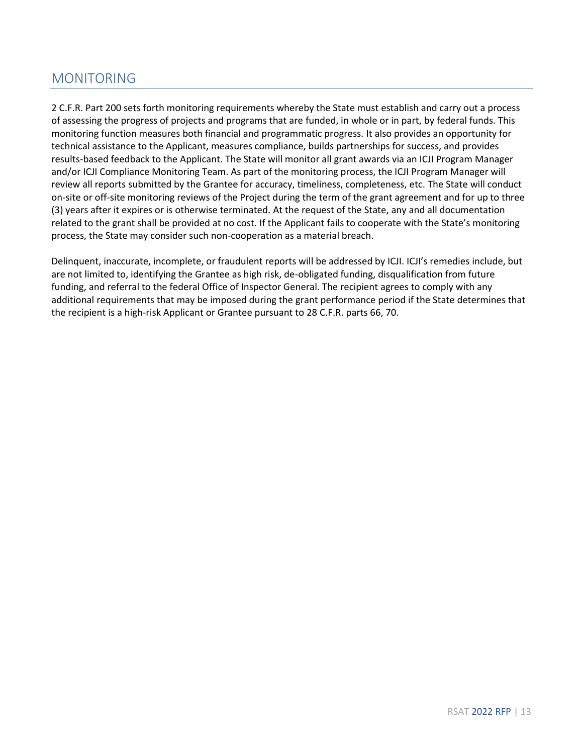### <span id="page-12-0"></span>MONITORING

2 C.F.R. Part 200 sets forth monitoring requirements whereby the State must establish and carry out a process of assessing the progress of projects and programs that are funded, in whole or in part, by federal funds. This monitoring function measures both financial and programmatic progress. It also provides an opportunity for technical assistance to the Applicant, measures compliance, builds partnerships for success, and provides results-based feedback to the Applicant. The State will monitor all grant awards via an ICJI Program Manager and/or ICJI Compliance Monitoring Team. As part of the monitoring process, the ICJI Program Manager will review all reports submitted by the Grantee for accuracy, timeliness, completeness, etc. The State will conduct on-site or off-site monitoring reviews of the Project during the term of the grant agreement and for up to three (3) years after it expires or is otherwise terminated. At the request of the State, any and all documentation related to the grant shall be provided at no cost. If the Applicant fails to cooperate with the State's monitoring process, the State may consider such non-cooperation as a material breach.

Delinquent, inaccurate, incomplete, or fraudulent reports will be addressed by ICJI. ICJI's remedies include, but are not limited to, identifying the Grantee as high risk, de-obligated funding, disqualification from future funding, and referral to the federal Office of Inspector General. The recipient agrees to comply with any additional requirements that may be imposed during the grant performance period if the State determines that the recipient is a high-risk Applicant or Grantee pursuant to 28 C.F.R. parts 66, 70.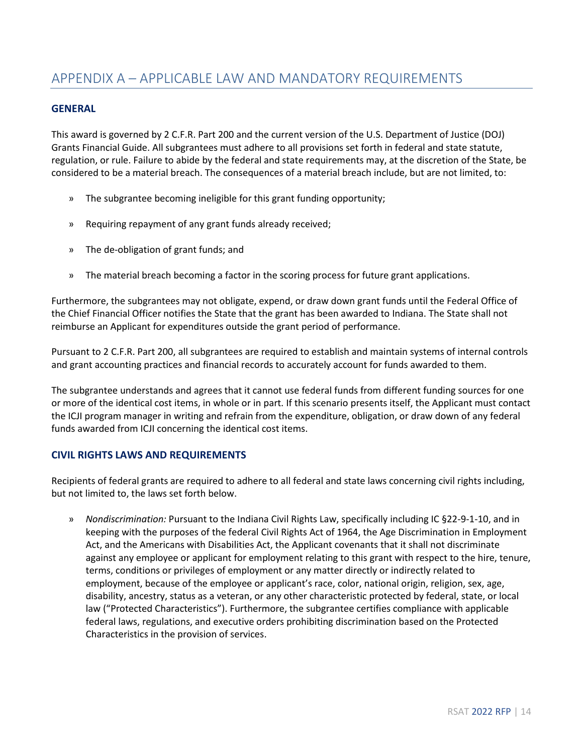#### <span id="page-13-0"></span>**GENERAL**

This award is governed by 2 C.F.R. Part 200 and the current version of the U.S. Department of Justice (DOJ) Grants Financial Guide. All subgrantees must adhere to all provisions set forth in federal and state statute, regulation, or rule. Failure to abide by the federal and state requirements may, at the discretion of the State, be considered to be a material breach. The consequences of a material breach include, but are not limited, to:

- » The subgrantee becoming ineligible for this grant funding opportunity;
- » Requiring repayment of any grant funds already received;
- » The de-obligation of grant funds; and
- » The material breach becoming a factor in the scoring process for future grant applications.

Furthermore, the subgrantees may not obligate, expend, or draw down grant funds until the Federal Office of the Chief Financial Officer notifies the State that the grant has been awarded to Indiana. The State shall not reimburse an Applicant for expenditures outside the grant period of performance.

Pursuant to 2 C.F.R. Part 200, all subgrantees are required to establish and maintain systems of internal controls and grant accounting practices and financial records to accurately account for funds awarded to them.

The subgrantee understands and agrees that it cannot use federal funds from different funding sources for one or more of the identical cost items, in whole or in part. If this scenario presents itself, the Applicant must contact the ICJI program manager in writing and refrain from the expenditure, obligation, or draw down of any federal funds awarded from ICJI concerning the identical cost items.

#### **CIVIL RIGHTS LAWS AND REQUIREMENTS**

Recipients of federal grants are required to adhere to all federal and state laws concerning civil rights including, but not limited to, the laws set forth below.

» *Nondiscrimination:* Pursuant to the Indiana Civil Rights Law, specifically including IC §22-9-1-10, and in keeping with the purposes of the federal Civil Rights Act of 1964, the Age Discrimination in Employment Act, and the Americans with Disabilities Act, the Applicant covenants that it shall not discriminate against any employee or applicant for employment relating to this grant with respect to the hire, tenure, terms, conditions or privileges of employment or any matter directly or indirectly related to employment, because of the employee or applicant's race, color, national origin, religion, sex, age, disability, ancestry, status as a veteran, or any other characteristic protected by federal, state, or local law ("Protected Characteristics"). Furthermore, the subgrantee certifies compliance with applicable federal laws, regulations, and executive orders prohibiting discrimination based on the Protected Characteristics in the provision of services.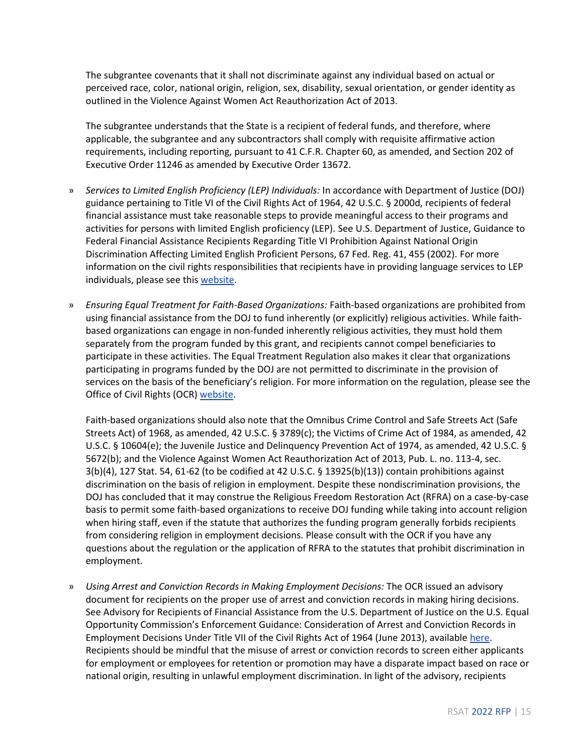The subgrantee covenants that it shall not discriminate against any individual based on actual or perceived race, color, national origin, religion, sex, disability, sexual orientation, or gender identity as outlined in the Violence Against Women Act Reauthorization Act of 2013.

The subgrantee understands that the State is a recipient of federal funds, and therefore, where applicable, the subgrantee and any subcontractors shall comply with requisite affirmative action requirements, including reporting, pursuant to 41 C.F.R. Chapter 60, as amended, and Section 202 of Executive Order 11246 as amended by Executive Order 13672.

- » *Services to Limited English Proficiency (LEP) Individuals:* In accordance with Department of Justice (DOJ) guidance pertaining to Title VI of the Civil Rights Act of 1964, 42 U.S.C. § 2000d, recipients of federal financial assistance must take reasonable steps to provide meaningful access to their programs and activities for persons with limited English proficiency (LEP). See U.S. Department of Justice, Guidance to Federal Financial Assistance Recipients Regarding Title VI Prohibition Against National Origin Discrimination Affecting Limited English Proficient Persons, 67 Fed. Reg. 41, 455 (2002). For more information on the civil rights responsibilities that recipients have in providing language services to LEP individuals, please see this [website.](http://www.lep.gov/)
- » *Ensuring Equal Treatment for Faith-Based Organizations:* Faith-based organizations are prohibited from using financial assistance from the DOJ to fund inherently (or explicitly) religious activities. While faithbased organizations can engage in non-funded inherently religious activities, they must hold them separately from the program funded by this grant, and recipients cannot compel beneficiaries to participate in these activities. The Equal Treatment Regulation also makes it clear that organizations participating in programs funded by the DOJ are not permitted to discriminate in the provision of services on the basis of the beneficiary's religion. For more information on the regulation, please see the Office of Civil Rights (OCR) [website.](http://www.ojp.usdoj.gov/about/ocr/equal_fbo.htm)

Faith-based organizations should also note that the Omnibus Crime Control and Safe Streets Act (Safe Streets Act) of 1968, as amended, 42 U.S.C. § 3789(c); the Victims of Crime Act of 1984, as amended, 42 U.S.C. § 10604(e); the Juvenile Justice and Delinquency Prevention Act of 1974, as amended, 42 U.S.C. § 5672(b); and the Violence Against Women Act Reauthorization Act of 2013, Pub. L. no. 113-4, sec. 3(b)(4), 127 Stat. 54, 61-62 (to be codified at 42 U.S.C. § 13925(b)(13)) contain prohibitions against discrimination on the basis of religion in employment. Despite these nondiscrimination provisions, the DOJ has concluded that it may construe the Religious Freedom Restoration Act (RFRA) on a case-by-case basis to permit some faith-based organizations to receive DOJ funding while taking into account religion when hiring staff, even if the statute that authorizes the funding program generally forbids recipients from considering religion in employment decisions. Please consult with the OCR if you have any questions about the regulation or the application of RFRA to the statutes that prohibit discrimination in employment.

» *Using Arrest and Conviction Records in Making Employment Decisions:* The OCR issued an advisory document for recipients on the proper use of arrest and conviction records in making hiring decisions. See Advisory for Recipients of Financial Assistance from the U.S. Department of Justice on the U.S. Equal Opportunity Commission's Enforcement Guidance: Consideration of Arrest and Conviction Records in Employment Decisions Under Title VII of the Civil Rights Act of 1964 (June 2013), availabl[e here.](http://www.ojp.usdoj/about/ocr/pdfs/UseofConviction_Advisory.pdf) Recipients should be mindful that the misuse of arrest or conviction records to screen either applicants for employment or employees for retention or promotion may have a disparate impact based on race or national origin, resulting in unlawful employment discrimination. In light of the advisory, recipients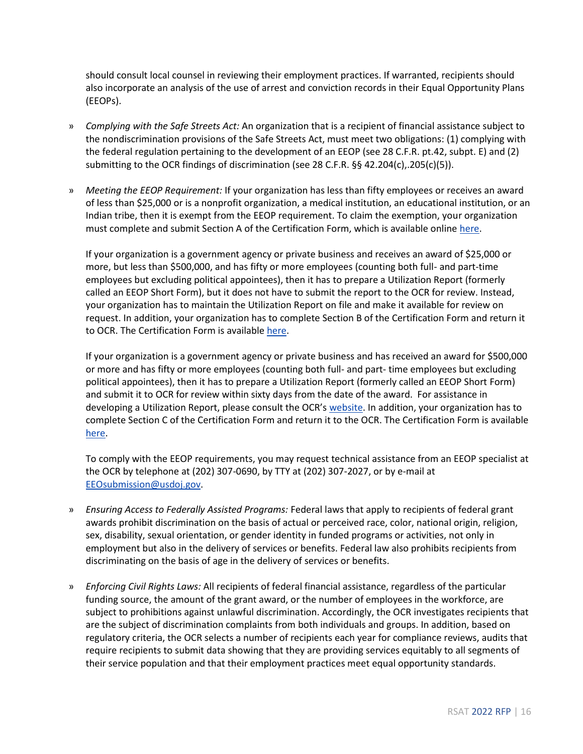should consult local counsel in reviewing their employment practices. If warranted, recipients should also incorporate an analysis of the use of arrest and conviction records in their Equal Opportunity Plans (EEOPs).

- » *Complying with the Safe Streets Act:* An organization that is a recipient of financial assistance subject to the nondiscrimination provisions of the Safe Streets Act, must meet two obligations: (1) complying with the federal regulation pertaining to the development of an EEOP (see 28 C.F.R. pt.42, subpt. E) and (2) submitting to the OCR findings of discrimination (see 28 C.F.R. §§ 42.204(c),.205(c)(5)).
- » *Meeting the EEOP Requirement:* If your organization has less than fifty employees or receives an award of less than \$25,000 or is a nonprofit organization, a medical institution, an educational institution, or an Indian tribe, then it is exempt from the EEOP requirement. To claim the exemption, your organization must complete and submit Section A of the Certification Form, which is available online [here.](http://www.ojp.usdoj.gov/about/ocr/pdfs/cert.pdf)

If your organization is a government agency or private business and receives an award of \$25,000 or more, but less than \$500,000, and has fifty or more employees (counting both full- and part-time employees but excluding political appointees), then it has to prepare a Utilization Report (formerly called an EEOP Short Form), but it does not have to submit the report to the OCR for review. Instead, your organization has to maintain the Utilization Report on file and make it available for review on request. In addition, your organization has to complete Section B of the Certification Form and return it to OCR. The Certification Form is available [here.](http://www.ojp.usdoj.gov/about/ocr/pdfs/cert.pdf)

If your organization is a government agency or private business and has received an award for \$500,000 or more and has fifty or more employees (counting both full- and part- time employees but excluding political appointees), then it has to prepare a Utilization Report (formerly called an EEOP Short Form) and submit it to OCR for review within sixty days from the date of the award. For assistance in developing a Utilization Report, please consult the OCR's [website.](http://www.ojp.usdoj.gov/about/ocr/eeop.htm) In addition, your organization has to complete Section C of the Certification Form and return it to the OCR. The Certification Form is available [here.](http://www.ojp.usdoj.gov/about/ocr/pdfs/cert.pdf)

To comply with the EEOP requirements, you may request technical assistance from an EEOP specialist at the OCR by telephone at (202) 307-0690, by TTY at (202) 307-2027, or by e-mail at [EEOsubmission@usdoj.gov.](mailto:EEOsubmission@usdoj.gov)

- » *Ensuring Access to Federally Assisted Programs:* Federal laws that apply to recipients of federal grant awards prohibit discrimination on the basis of actual or perceived race, color, national origin, religion, sex, disability, sexual orientation, or gender identity in funded programs or activities, not only in employment but also in the delivery of services or benefits. Federal law also prohibits recipients from discriminating on the basis of age in the delivery of services or benefits.
- » *Enforcing Civil Rights Laws:* All recipients of federal financial assistance, regardless of the particular funding source, the amount of the grant award, or the number of employees in the workforce, are subject to prohibitions against unlawful discrimination. Accordingly, the OCR investigates recipients that are the subject of discrimination complaints from both individuals and groups. In addition, based on regulatory criteria, the OCR selects a number of recipients each year for compliance reviews, audits that require recipients to submit data showing that they are providing services equitably to all segments of their service population and that their employment practices meet equal opportunity standards.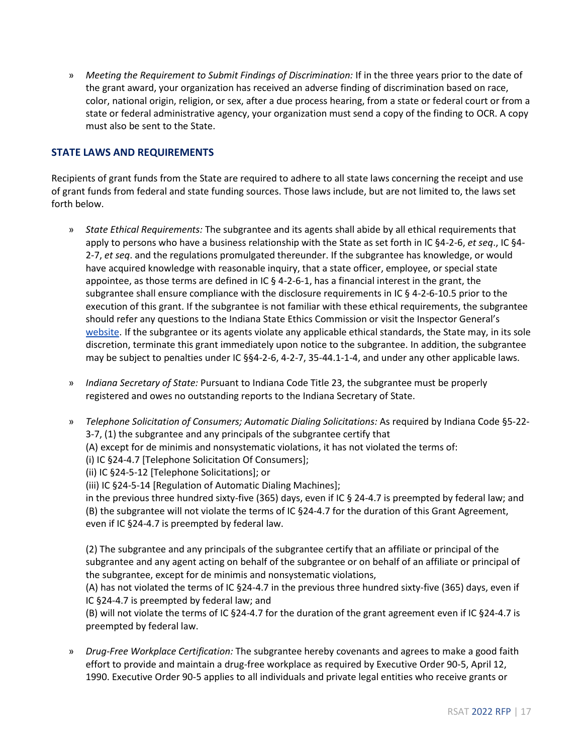» *Meeting the Requirement to Submit Findings of Discrimination:* If in the three years prior to the date of the grant award, your organization has received an adverse finding of discrimination based on race, color, national origin, religion, or sex, after a due process hearing, from a state or federal court or from a state or federal administrative agency, your organization must send a copy of the finding to OCR. A copy must also be sent to the State.

#### **STATE LAWS AND REQUIREMENTS**

Recipients of grant funds from the State are required to adhere to all state laws concerning the receipt and use of grant funds from federal and state funding sources. Those laws include, but are not limited to, the laws set forth below.

- » *State Ethical Requirements:* The subgrantee and its agents shall abide by all ethical requirements that apply to persons who have a business relationship with the State as set forth in IC §4-2-6, *et seq*., IC §4- 2-7, *et seq*. and the regulations promulgated thereunder. If the subgrantee has knowledge, or would have acquired knowledge with reasonable inquiry, that a state officer, employee, or special state appointee, as those terms are defined in IC § 4-2-6-1, has a financial interest in the grant, the subgrantee shall ensure compliance with the disclosure requirements in IC § 4-2-6-10.5 prior to the execution of this grant. If the subgrantee is not familiar with these ethical requirements, the subgrantee should refer any questions to the Indiana State Ethics Commission or visit the Inspector General's [website.](https://www.in.gov/ig/) If the subgrantee or its agents violate any applicable ethical standards, the State may, in its sole discretion, terminate this grant immediately upon notice to the subgrantee. In addition, the subgrantee may be subject to penalties under IC §§4-2-6, 4-2-7, 35-44.1-1-4, and under any other applicable laws.
- » *Indiana Secretary of State:* Pursuant to Indiana Code Title 23, the subgrantee must be properly registered and owes no outstanding reports to the Indiana Secretary of State.
- » *Telephone Solicitation of Consumers; Automatic Dialing Solicitations:* As required by Indiana Code §5-22- 3-7, (1) the subgrantee and any principals of the subgrantee certify that (A) except for de minimis and nonsystematic violations, it has not violated the terms of: (i) IC §24-4.7 [Telephone Solicitation Of Consumers]; (ii) IC §24-5-12 [Telephone Solicitations]; or (iii) IC §24-5-14 [Regulation of Automatic Dialing Machines]; in the previous three hundred sixty-five (365) days, even if IC § 24-4.7 is preempted by federal law; and

(B) the subgrantee will not violate the terms of IC §24-4.7 for the duration of this Grant Agreement, even if IC §24-4.7 is preempted by federal law.

(2) The subgrantee and any principals of the subgrantee certify that an affiliate or principal of the subgrantee and any agent acting on behalf of the subgrantee or on behalf of an affiliate or principal of the subgrantee, except for de minimis and nonsystematic violations,

(A) has not violated the terms of IC §24-4.7 in the previous three hundred sixty-five (365) days, even if IC §24-4.7 is preempted by federal law; and

(B) will not violate the terms of IC §24-4.7 for the duration of the grant agreement even if IC §24-4.7 is preempted by federal law.

» *Drug-Free Workplace Certification:* The subgrantee hereby covenants and agrees to make a good faith effort to provide and maintain a drug-free workplace as required by Executive Order 90-5, April 12, 1990. Executive Order 90-5 applies to all individuals and private legal entities who receive grants or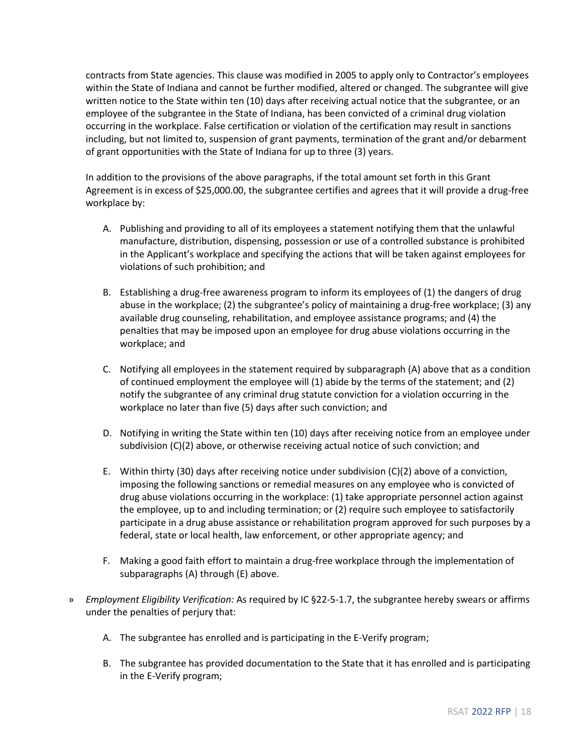contracts from State agencies. This clause was modified in 2005 to apply only to Contractor's employees within the State of Indiana and cannot be further modified, altered or changed. The subgrantee will give written notice to the State within ten (10) days after receiving actual notice that the subgrantee, or an employee of the subgrantee in the State of Indiana, has been convicted of a criminal drug violation occurring in the workplace. False certification or violation of the certification may result in sanctions including, but not limited to, suspension of grant payments, termination of the grant and/or debarment of grant opportunities with the State of Indiana for up to three (3) years.

In addition to the provisions of the above paragraphs, if the total amount set forth in this Grant Agreement is in excess of \$25,000.00, the subgrantee certifies and agrees that it will provide a drug-free workplace by:

- A. Publishing and providing to all of its employees a statement notifying them that the unlawful manufacture, distribution, dispensing, possession or use of a controlled substance is prohibited in the Applicant's workplace and specifying the actions that will be taken against employees for violations of such prohibition; and
- B. Establishing a drug-free awareness program to inform its employees of (1) the dangers of drug abuse in the workplace; (2) the subgrantee's policy of maintaining a drug-free workplace; (3) any available drug counseling, rehabilitation, and employee assistance programs; and (4) the penalties that may be imposed upon an employee for drug abuse violations occurring in the workplace; and
- C. Notifying all employees in the statement required by subparagraph (A) above that as a condition of continued employment the employee will (1) abide by the terms of the statement; and (2) notify the subgrantee of any criminal drug statute conviction for a violation occurring in the workplace no later than five (5) days after such conviction; and
- D. Notifying in writing the State within ten (10) days after receiving notice from an employee under subdivision (C)(2) above, or otherwise receiving actual notice of such conviction; and
- E. Within thirty (30) days after receiving notice under subdivision (C)(2) above of a conviction, imposing the following sanctions or remedial measures on any employee who is convicted of drug abuse violations occurring in the workplace: (1) take appropriate personnel action against the employee, up to and including termination; or (2) require such employee to satisfactorily participate in a drug abuse assistance or rehabilitation program approved for such purposes by a federal, state or local health, law enforcement, or other appropriate agency; and
- F. Making a good faith effort to maintain a drug-free workplace through the implementation of subparagraphs (A) through (E) above.
- » *Employment Eligibility Verification:* As required by IC §22-5-1.7, the subgrantee hereby swears or affirms under the penalties of perjury that:
	- A. The subgrantee has enrolled and is participating in the E-Verify program;
	- B. The subgrantee has provided documentation to the State that it has enrolled and is participating in the E-Verify program;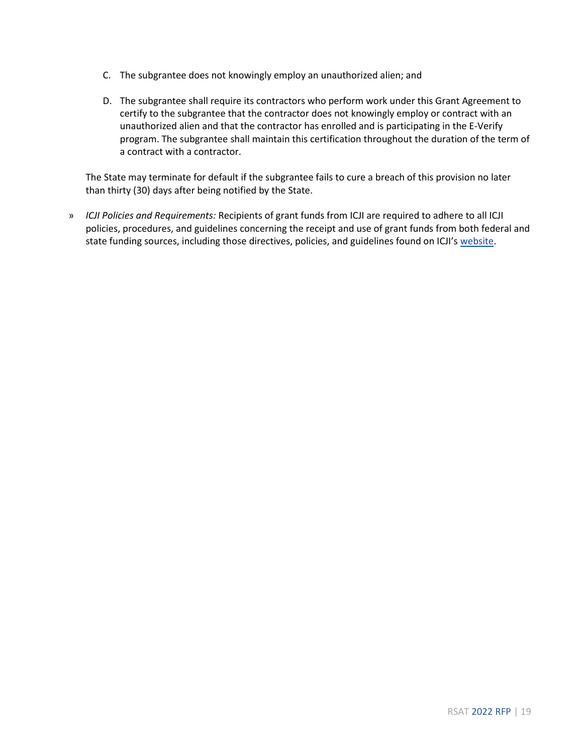- C. The subgrantee does not knowingly employ an unauthorized alien; and
- D. The subgrantee shall require its contractors who perform work under this Grant Agreement to certify to the subgrantee that the contractor does not knowingly employ or contract with an unauthorized alien and that the contractor has enrolled and is participating in the E-Verify program. The subgrantee shall maintain this certification throughout the duration of the term of a contract with a contractor.

The State may terminate for default if the subgrantee fails to cure a breach of this provision no later than thirty (30) days after being notified by the State.

» *ICJI Policies and Requirements:* Recipients of grant funds from ICJI are required to adhere to all ICJI policies, procedures, and guidelines concerning the receipt and use of grant funds from both federal and state funding sources, including those directives, policies, and guidelines found on ICJI's [website.](https://www.in.gov/cji/grantee-training-and-resources/)